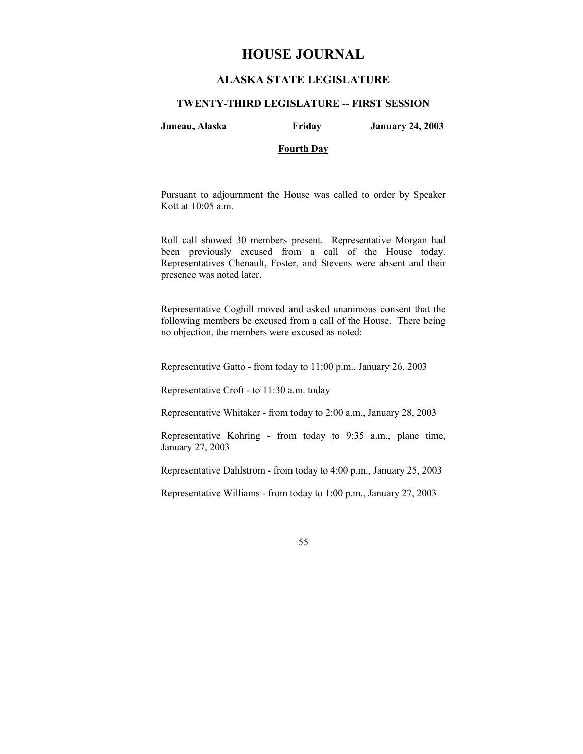# **HOUSE JOURNAL**

# **ALASKA STATE LEGISLATURE**

#### **TWENTY-THIRD LEGISLATURE -- FIRST SESSION**

**Juneau, Alaska Friday January 24, 2003** 

# **Fourth Day**

Pursuant to adjournment the House was called to order by Speaker Kott at 10:05 a.m.

Roll call showed 30 members present. Representative Morgan had been previously excused from a call of the House today. Representatives Chenault, Foster, and Stevens were absent and their presence was noted later.

Representative Coghill moved and asked unanimous consent that the following members be excused from a call of the House. There being no objection, the members were excused as noted:

Representative Gatto - from today to 11:00 p.m., January 26, 2003

Representative Croft - to 11:30 a.m. today

Representative Whitaker - from today to 2:00 a.m., January 28, 2003

Representative Kohring - from today to 9:35 a.m., plane time, January 27, 2003

Representative Dahlstrom - from today to 4:00 p.m., January 25, 2003

Representative Williams - from today to 1:00 p.m., January 27, 2003

55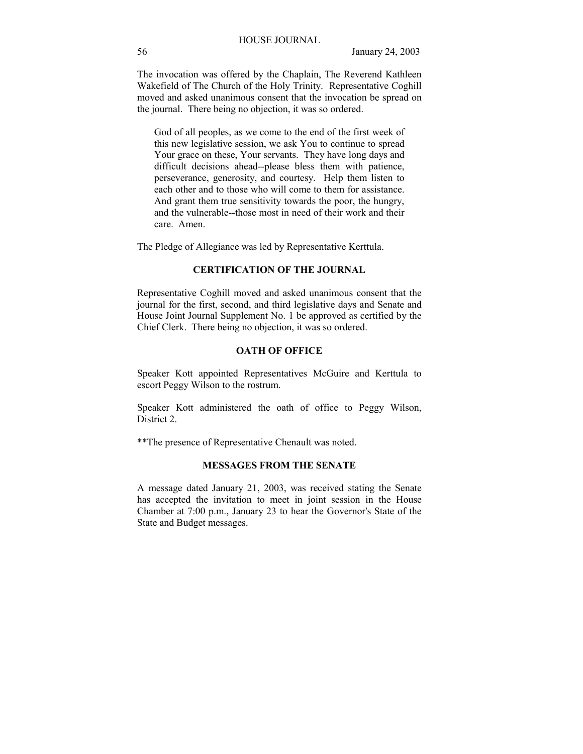The invocation was offered by the Chaplain, The Reverend Kathleen Wakefield of The Church of the Holy Trinity. Representative Coghill moved and asked unanimous consent that the invocation be spread on the journal. There being no objection, it was so ordered.

God of all peoples, as we come to the end of the first week of this new legislative session, we ask You to continue to spread Your grace on these, Your servants. They have long days and difficult decisions ahead--please bless them with patience, perseverance, generosity, and courtesy. Help them listen to each other and to those who will come to them for assistance. And grant them true sensitivity towards the poor, the hungry, and the vulnerable--those most in need of their work and their care. Amen.

The Pledge of Allegiance was led by Representative Kerttula.

# **CERTIFICATION OF THE JOURNAL**

Representative Coghill moved and asked unanimous consent that the journal for the first, second, and third legislative days and Senate and House Joint Journal Supplement No. 1 be approved as certified by the Chief Clerk. There being no objection, it was so ordered.

# **OATH OF OFFICE**

Speaker Kott appointed Representatives McGuire and Kerttula to escort Peggy Wilson to the rostrum.

Speaker Kott administered the oath of office to Peggy Wilson, District 2.

\*\*The presence of Representative Chenault was noted.

# **MESSAGES FROM THE SENATE**

A message dated January 21, 2003, was received stating the Senate has accepted the invitation to meet in joint session in the House Chamber at 7:00 p.m., January 23 to hear the Governor's State of the State and Budget messages.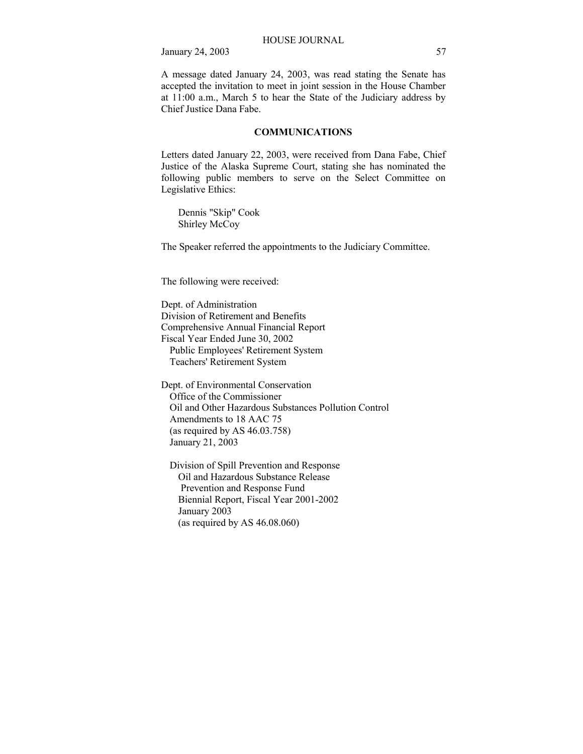A message dated January 24, 2003, was read stating the Senate has accepted the invitation to meet in joint session in the House Chamber at 11:00 a.m., March 5 to hear the State of the Judiciary address by Chief Justice Dana Fabe.

### **COMMUNICATIONS**

Letters dated January 22, 2003, were received from Dana Fabe, Chief Justice of the Alaska Supreme Court, stating she has nominated the following public members to serve on the Select Committee on Legislative Ethics:

 Dennis "Skip" Cook Shirley McCoy

The Speaker referred the appointments to the Judiciary Committee.

The following were received:

Dept. of Administration Division of Retirement and Benefits Comprehensive Annual Financial Report Fiscal Year Ended June 30, 2002 Public Employees' Retirement System Teachers' Retirement System

Dept. of Environmental Conservation Office of the Commissioner Oil and Other Hazardous Substances Pollution Control Amendments to 18 AAC 75 (as required by AS 46.03.758) January 21, 2003

 Division of Spill Prevention and Response Oil and Hazardous Substance Release Prevention and Response Fund Biennial Report, Fiscal Year 2001-2002 January 2003 (as required by AS 46.08.060)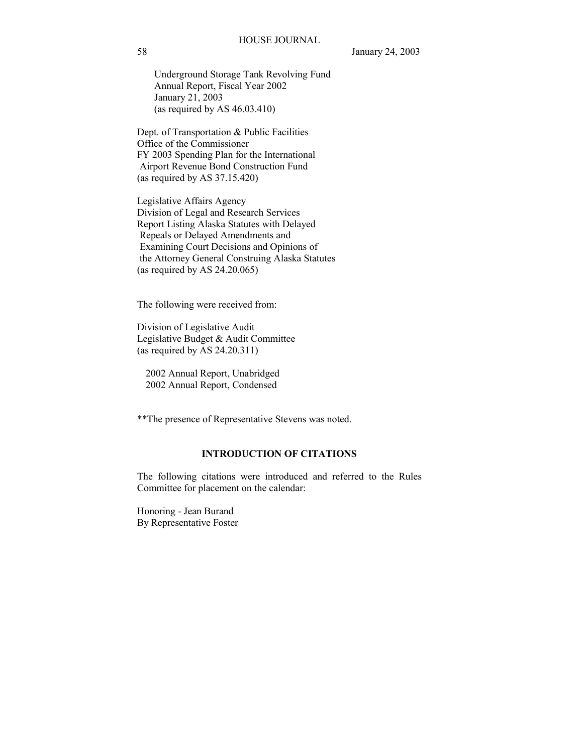Underground Storage Tank Revolving Fund Annual Report, Fiscal Year 2002 January 21, 2003 (as required by AS 46.03.410)

Dept. of Transportation & Public Facilities Office of the Commissioner FY 2003 Spending Plan for the International Airport Revenue Bond Construction Fund (as required by AS 37.15.420)

Legislative Affairs Agency Division of Legal and Research Services Report Listing Alaska Statutes with Delayed Repeals or Delayed Amendments and Examining Court Decisions and Opinions of the Attorney General Construing Alaska Statutes (as required by AS 24.20.065)

The following were received from:

Division of Legislative Audit Legislative Budget & Audit Committee (as required by AS 24.20.311)

 2002 Annual Report, Unabridged 2002 Annual Report, Condensed

\*\*The presence of Representative Stevens was noted.

# **INTRODUCTION OF CITATIONS**

The following citations were introduced and referred to the Rules Committee for placement on the calendar:

Honoring - Jean Burand By Representative Foster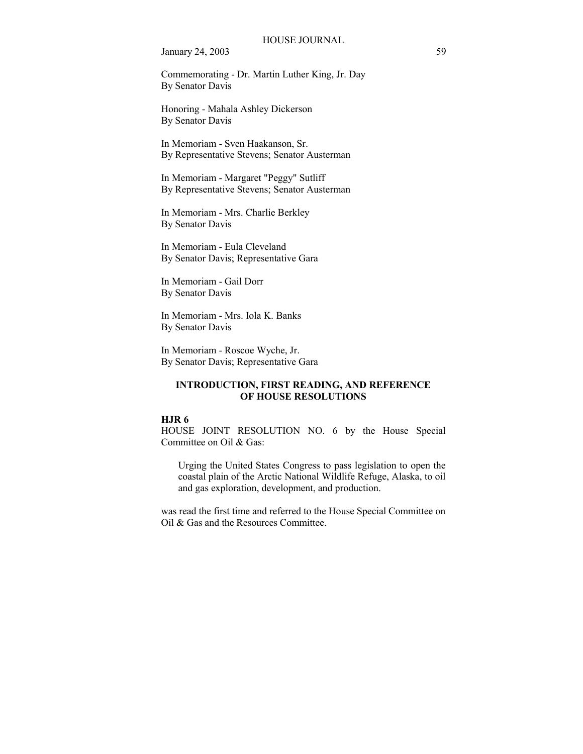Commemorating - Dr. Martin Luther King, Jr. Day By Senator Davis

Honoring - Mahala Ashley Dickerson By Senator Davis

In Memoriam - Sven Haakanson, Sr. By Representative Stevens; Senator Austerman

In Memoriam - Margaret "Peggy" Sutliff By Representative Stevens; Senator Austerman

In Memoriam - Mrs. Charlie Berkley By Senator Davis

In Memoriam - Eula Cleveland By Senator Davis; Representative Gara

In Memoriam - Gail Dorr By Senator Davis

In Memoriam - Mrs. Iola K. Banks By Senator Davis

In Memoriam - Roscoe Wyche, Jr. By Senator Davis; Representative Gara

# **INTRODUCTION, FIRST READING, AND REFERENCE OF HOUSE RESOLUTIONS**

#### **HJR 6**

HOUSE JOINT RESOLUTION NO. 6 by the House Special Committee on Oil & Gas:

Urging the United States Congress to pass legislation to open the coastal plain of the Arctic National Wildlife Refuge, Alaska, to oil and gas exploration, development, and production.

was read the first time and referred to the House Special Committee on Oil & Gas and the Resources Committee.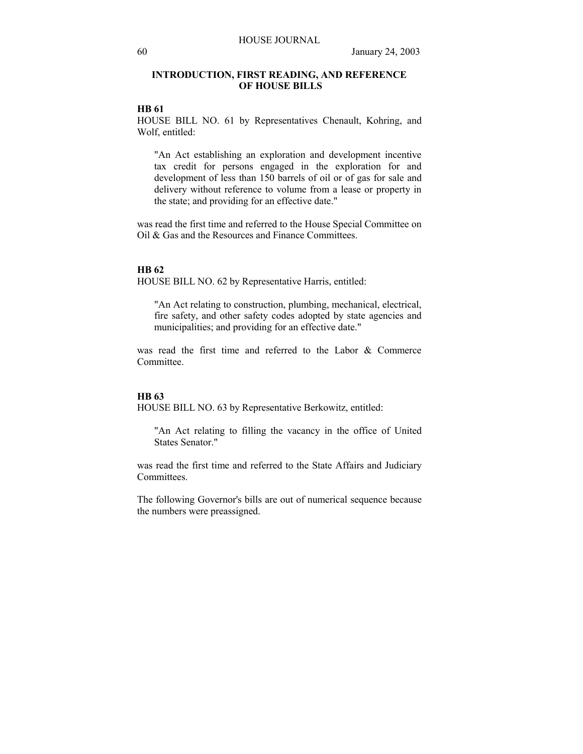# **INTRODUCTION, FIRST READING, AND REFERENCE OF HOUSE BILLS**

# **HB 61**

HOUSE BILL NO. 61 by Representatives Chenault, Kohring, and Wolf, entitled:

"An Act establishing an exploration and development incentive tax credit for persons engaged in the exploration for and development of less than 150 barrels of oil or of gas for sale and delivery without reference to volume from a lease or property in the state; and providing for an effective date."

was read the first time and referred to the House Special Committee on Oil & Gas and the Resources and Finance Committees.

### **HB 62**

HOUSE BILL NO. 62 by Representative Harris, entitled:

"An Act relating to construction, plumbing, mechanical, electrical, fire safety, and other safety codes adopted by state agencies and municipalities; and providing for an effective date."

was read the first time and referred to the Labor & Commerce Committee.

#### **HB 63**

HOUSE BILL NO. 63 by Representative Berkowitz, entitled:

"An Act relating to filling the vacancy in the office of United States Senator."

was read the first time and referred to the State Affairs and Judiciary Committees.

The following Governor's bills are out of numerical sequence because the numbers were preassigned.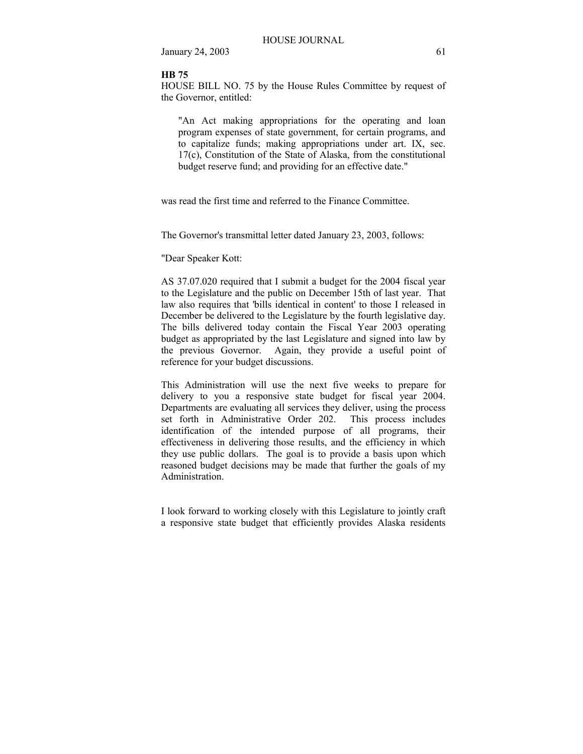#### **HB 75**

HOUSE BILL NO. 75 by the House Rules Committee by request of the Governor, entitled:

"An Act making appropriations for the operating and loan program expenses of state government, for certain programs, and to capitalize funds; making appropriations under art. IX, sec. 17(c), Constitution of the State of Alaska, from the constitutional budget reserve fund; and providing for an effective date."

was read the first time and referred to the Finance Committee.

The Governor's transmittal letter dated January 23, 2003, follows:

#### "Dear Speaker Kott:

AS 37.07.020 required that I submit a budget for the 2004 fiscal year to the Legislature and the public on December 15th of last year. That law also requires that 'bills identical in content' to those I released in December be delivered to the Legislature by the fourth legislative day. The bills delivered today contain the Fiscal Year 2003 operating budget as appropriated by the last Legislature and signed into law by the previous Governor. Again, they provide a useful point of reference for your budget discussions.

This Administration will use the next five weeks to prepare for delivery to you a responsive state budget for fiscal year 2004. Departments are evaluating all services they deliver, using the process set forth in Administrative Order 202. This process includes identification of the intended purpose of all programs, their effectiveness in delivering those results, and the efficiency in which they use public dollars. The goal is to provide a basis upon which reasoned budget decisions may be made that further the goals of my Administration.

I look forward to working closely with this Legislature to jointly craft a responsive state budget that efficiently provides Alaska residents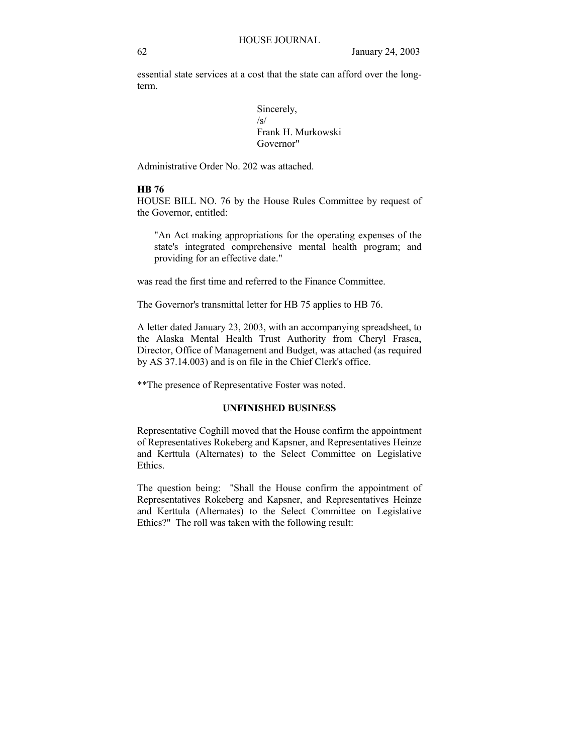essential state services at a cost that the state can afford over the longterm.

> Sincerely, /s/ Frank H. Murkowski Governor"

Administrative Order No. 202 was attached.

# **HB 76**

HOUSE BILL NO. 76 by the House Rules Committee by request of the Governor, entitled:

"An Act making appropriations for the operating expenses of the state's integrated comprehensive mental health program; and providing for an effective date."

was read the first time and referred to the Finance Committee.

The Governor's transmittal letter for HB 75 applies to HB 76.

A letter dated January 23, 2003, with an accompanying spreadsheet, to the Alaska Mental Health Trust Authority from Cheryl Frasca, Director, Office of Management and Budget, was attached (as required by AS 37.14.003) and is on file in the Chief Clerk's office.

\*\*The presence of Representative Foster was noted.

# **UNFINISHED BUSINESS**

Representative Coghill moved that the House confirm the appointment of Representatives Rokeberg and Kapsner, and Representatives Heinze and Kerttula (Alternates) to the Select Committee on Legislative Ethics.

The question being: "Shall the House confirm the appointment of Representatives Rokeberg and Kapsner, and Representatives Heinze and Kerttula (Alternates) to the Select Committee on Legislative Ethics?" The roll was taken with the following result: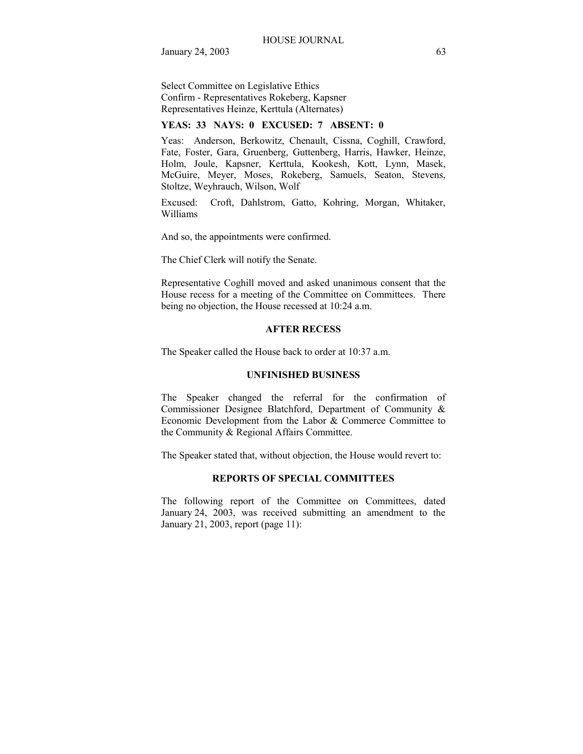Select Committee on Legislative Ethics Confirm - Representatives Rokeberg, Kapsner Representatives Heinze, Kerttula (Alternates)

# **YEAS: 33 NAYS: 0 EXCUSED: 7 ABSENT: 0**

Yeas: Anderson, Berkowitz, Chenault, Cissna, Coghill, Crawford, Fate, Foster, Gara, Gruenberg, Guttenberg, Harris, Hawker, Heinze, Holm, Joule, Kapsner, Kerttula, Kookesh, Kott, Lynn, Masek, McGuire, Meyer, Moses, Rokeberg, Samuels, Seaton, Stevens, Stoltze, Weyhrauch, Wilson, Wolf

Excused: Croft, Dahlstrom, Gatto, Kohring, Morgan, Whitaker, Williams

And so, the appointments were confirmed.

The Chief Clerk will notify the Senate.

Representative Coghill moved and asked unanimous consent that the House recess for a meeting of the Committee on Committees. There being no objection, the House recessed at 10:24 a.m.

#### **AFTER RECESS**

The Speaker called the House back to order at 10:37 a.m.

#### **UNFINISHED BUSINESS**

The Speaker changed the referral for the confirmation of Commissioner Designee Blatchford, Department of Community & Economic Development from the Labor & Commerce Committee to the Community & Regional Affairs Committee.

The Speaker stated that, without objection, the House would revert to:

# **REPORTS OF SPECIAL COMMITTEES**

The following report of the Committee on Committees, dated January 24, 2003, was received submitting an amendment to the January 21, 2003, report (page 11):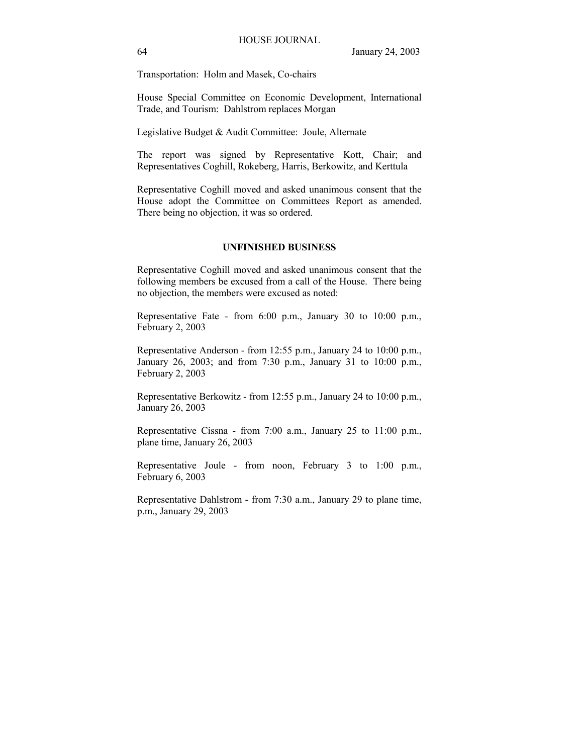Transportation: Holm and Masek, Co-chairs

House Special Committee on Economic Development, International Trade, and Tourism: Dahlstrom replaces Morgan

Legislative Budget & Audit Committee: Joule, Alternate

The report was signed by Representative Kott, Chair; and Representatives Coghill, Rokeberg, Harris, Berkowitz, and Kerttula

Representative Coghill moved and asked unanimous consent that the House adopt the Committee on Committees Report as amended. There being no objection, it was so ordered.

# **UNFINISHED BUSINESS**

Representative Coghill moved and asked unanimous consent that the following members be excused from a call of the House. There being no objection, the members were excused as noted:

Representative Fate - from 6:00 p.m., January 30 to 10:00 p.m., February 2, 2003

Representative Anderson - from 12:55 p.m., January 24 to 10:00 p.m., January 26, 2003; and from 7:30 p.m., January 31 to 10:00 p.m., February 2, 2003

Representative Berkowitz - from 12:55 p.m., January 24 to 10:00 p.m., January 26, 2003

Representative Cissna - from 7:00 a.m., January 25 to 11:00 p.m., plane time, January 26, 2003

Representative Joule - from noon, February 3 to 1:00 p.m., February 6, 2003

Representative Dahlstrom - from 7:30 a.m., January 29 to plane time, p.m., January 29, 2003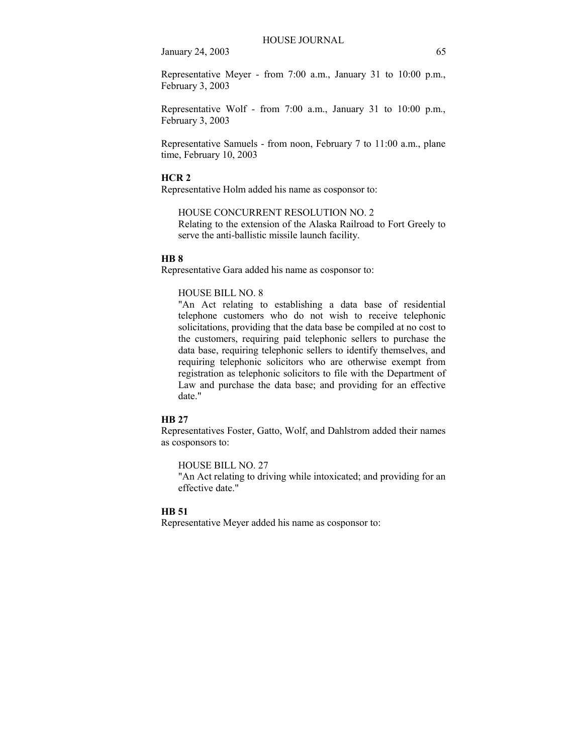Representative Meyer - from 7:00 a.m., January 31 to 10:00 p.m., February 3, 2003

Representative Wolf - from 7:00 a.m., January 31 to 10:00 p.m., February 3, 2003

Representative Samuels - from noon, February 7 to 11:00 a.m., plane time, February 10, 2003

# **HCR 2**

Representative Holm added his name as cosponsor to:

HOUSE CONCURRENT RESOLUTION NO. 2

Relating to the extension of the Alaska Railroad to Fort Greely to serve the anti-ballistic missile launch facility.

### **HB 8**

Representative Gara added his name as cosponsor to:

# HOUSE BILL NO. 8

"An Act relating to establishing a data base of residential telephone customers who do not wish to receive telephonic solicitations, providing that the data base be compiled at no cost to the customers, requiring paid telephonic sellers to purchase the data base, requiring telephonic sellers to identify themselves, and requiring telephonic solicitors who are otherwise exempt from registration as telephonic solicitors to file with the Department of Law and purchase the data base; and providing for an effective date."

### **HB 27**

Representatives Foster, Gatto, Wolf, and Dahlstrom added their names as cosponsors to:

HOUSE BILL NO. 27

"An Act relating to driving while intoxicated; and providing for an effective date."

#### **HB 51**

Representative Meyer added his name as cosponsor to: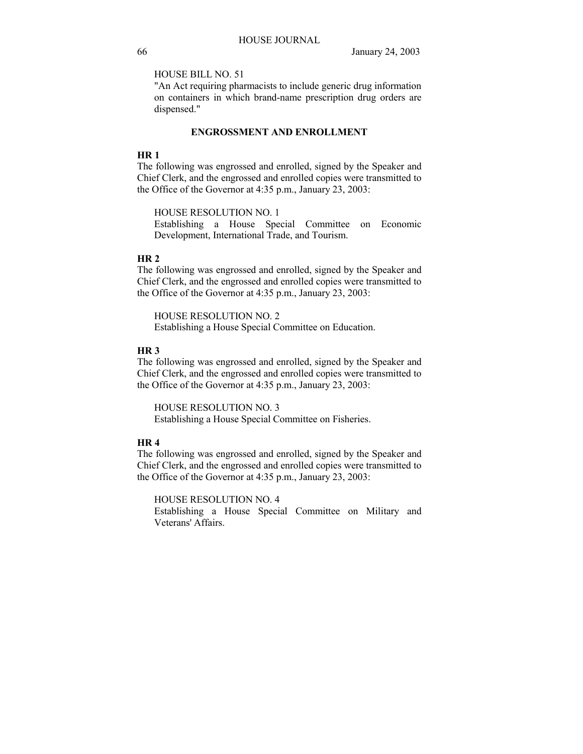HOUSE BILL NO. 51

"An Act requiring pharmacists to include generic drug information on containers in which brand-name prescription drug orders are dispensed."

# **ENGROSSMENT AND ENROLLMENT**

### **HR 1**

The following was engrossed and enrolled, signed by the Speaker and Chief Clerk, and the engrossed and enrolled copies were transmitted to the Office of the Governor at 4:35 p.m., January 23, 2003:

HOUSE RESOLUTION NO. 1

Establishing a House Special Committee on Economic Development, International Trade, and Tourism.

### **HR 2**

The following was engrossed and enrolled, signed by the Speaker and Chief Clerk, and the engrossed and enrolled copies were transmitted to the Office of the Governor at 4:35 p.m., January 23, 2003:

HOUSE RESOLUTION NO. 2 Establishing a House Special Committee on Education.

### **HR 3**

The following was engrossed and enrolled, signed by the Speaker and Chief Clerk, and the engrossed and enrolled copies were transmitted to the Office of the Governor at 4:35 p.m., January 23, 2003:

HOUSE RESOLUTION NO. 3 Establishing a House Special Committee on Fisheries.

# **HR 4**

The following was engrossed and enrolled, signed by the Speaker and Chief Clerk, and the engrossed and enrolled copies were transmitted to the Office of the Governor at 4:35 p.m., January 23, 2003:

HOUSE RESOLUTION NO. 4

Establishing a House Special Committee on Military and Veterans' Affairs.